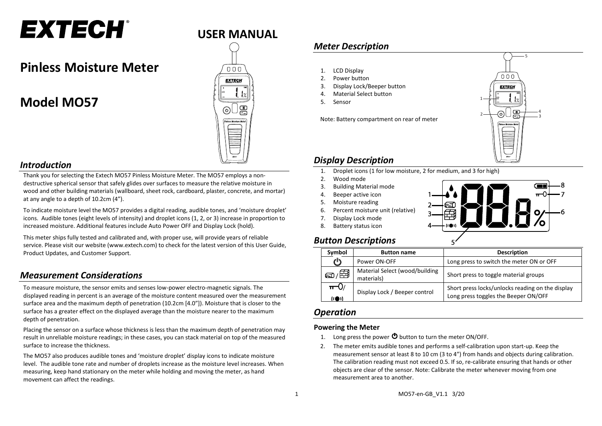# **EXTECH®**

## **Pinless Moisture Meter**

# **Model MO57**



## *Introduction*

Thank you for selecting the Extech MO57 Pinless Moisture Meter. The MO57 employs a nondestructive spherical sensor that safely glides over surfaces to measure the relative moisture in wood and other building materials (wallboard, sheet rock, cardboard, plaster, concrete, and mortar) at any angle to a depth of 10.2cm (4").

To indicate moisture level the MO57 provides a digital reading, audible tones, and 'moisture droplet' icons. Audible tones (eight levels of intensity) and droplet icons (1, 2, or 3) increase in proportion to increased moisture. Additional features include Auto Power OFF and Display Lock (hold).

This meter ships fully tested and calibrated and, with proper use, will provide years of reliable service. Please visit our website [\(www.extech.com\)](http://www.extech.com/) to check for the latest version of this User Guide, Product Updates, and Customer Support.

## *Measurement Considerations*

To measure moisture, the sensor emits and senses low-power electro-magnetic signals. The displayed reading in percent is an average of the moisture content measured over the measurement surface area and the maximum depth of penetration (10.2cm [4.0"]). Moisture that is closer to the surface has a greater effect on the displayed average than the moisture nearer to the maximum depth of penetration.

Placing the sensor on a surface whose thickness is less than the maximum depth of penetration may result in unreliable moisture readings; in these cases, you can stack material on top of the measured surface to increase the thickness.

The MO57 also produces audible tones and 'moisture droplet' display icons to indicate moisture level. The audible tone rate and number of droplets increase as the moisture level increases. When measuring, keep hand stationary on the meter while holding and moving the meter, as hand movement can affect the readings.

## *Meter Description*

- 1. LCD Display
- 2. Power button
- Display Lock/Beeper button
- Material Select button
- 5. Sensor

Note: Battery compartment on rear of meter



## *Display Description*

- 1. Droplet icons (1 for low moisture, 2 for medium, and 3 for high)
- 2. Wood mode
- 3. Building Material mode
- 4. Beeper active icon
- 5. Moisture reading
- 6. Percent moisture unit (relative)
- 7. Display Lock mode
- 8. Battery status icon



## *Button Descriptions*

| Symbol                               | <b>Button name</b>                           | <b>Description</b>                                                                       |
|--------------------------------------|----------------------------------------------|------------------------------------------------------------------------------------------|
| ጦ                                    | Power ON-OFF                                 | Long press to switch the meter ON or OFF                                                 |
| <i>ව/⊞ි</i>                          | Material Select (wood/building<br>materials) | Short press to toggle material groups                                                    |
| $\pi$ <sup>U</sup><br>$(i \oplus i)$ | Display Lock / Beeper control                | Short press locks/unlocks reading on the display<br>Long press toggles the Beeper ON/OFF |

## *Operation*

## **Powering the Meter**

- 1. Long press the power  $\Phi$  button to turn the meter ON/OFF.
- 2. The meter emits audible tones and performs a self-calibration upon start-up. Keep the measurement sensor at least 8 to 10 cm (3 to 4") from hands and objects during calibration. The calibration reading must not exceed 0.5. If so, re-calibrate ensuring that hands or other objects are clear of the sensor. Note: Calibrate the meter whenever moving from one measurement area to another.